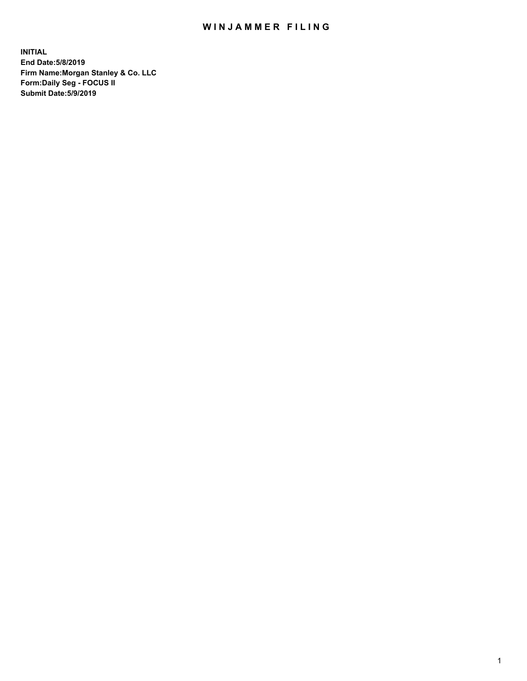## WIN JAMMER FILING

**INITIAL End Date:5/8/2019 Firm Name:Morgan Stanley & Co. LLC Form:Daily Seg - FOCUS II Submit Date:5/9/2019**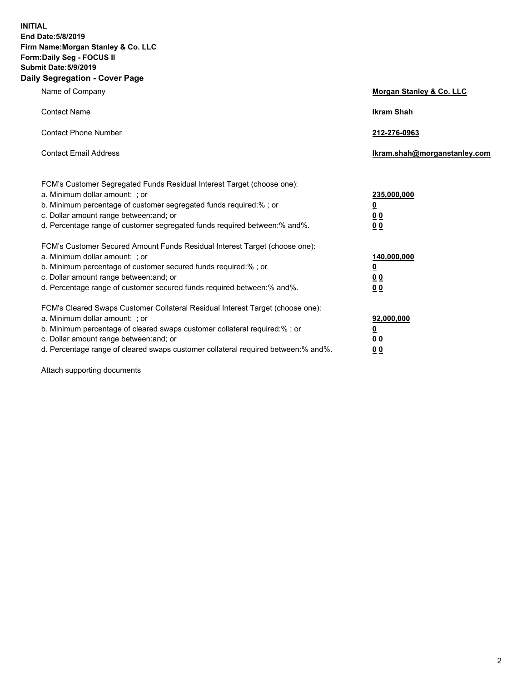**INITIAL End Date:5/8/2019 Firm Name:Morgan Stanley & Co. LLC Form:Daily Seg - FOCUS II Submit Date:5/9/2019 Daily Segregation - Cover Page**

| Name of Company                                                                                                                                                                                                                                                                                                                | Morgan Stanley & Co. LLC                                    |
|--------------------------------------------------------------------------------------------------------------------------------------------------------------------------------------------------------------------------------------------------------------------------------------------------------------------------------|-------------------------------------------------------------|
| <b>Contact Name</b>                                                                                                                                                                                                                                                                                                            | <b>Ikram Shah</b>                                           |
| <b>Contact Phone Number</b>                                                                                                                                                                                                                                                                                                    | 212-276-0963                                                |
| <b>Contact Email Address</b>                                                                                                                                                                                                                                                                                                   | Ikram.shah@morganstanley.com                                |
| FCM's Customer Segregated Funds Residual Interest Target (choose one):<br>a. Minimum dollar amount: ; or<br>b. Minimum percentage of customer segregated funds required:% ; or<br>c. Dollar amount range between: and; or<br>d. Percentage range of customer segregated funds required between:% and%.                         | 235,000,000<br><u>0</u><br>00<br>0 <sub>0</sub>             |
| FCM's Customer Secured Amount Funds Residual Interest Target (choose one):<br>a. Minimum dollar amount: ; or<br>b. Minimum percentage of customer secured funds required:%; or<br>c. Dollar amount range between: and; or<br>d. Percentage range of customer secured funds required between:% and%.                            | 140,000,000<br><u>0</u><br>0 <sub>0</sub><br>0 <sub>0</sub> |
| FCM's Cleared Swaps Customer Collateral Residual Interest Target (choose one):<br>a. Minimum dollar amount: ; or<br>b. Minimum percentage of cleared swaps customer collateral required:% ; or<br>c. Dollar amount range between: and; or<br>d. Percentage range of cleared swaps customer collateral required between:% and%. | 92,000,000<br><u>0</u><br>0 Q<br>0 <sub>0</sub>             |

Attach supporting documents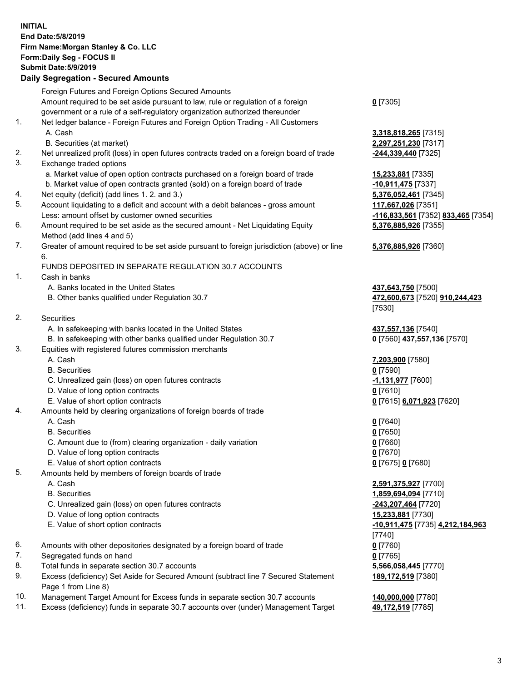## **INITIAL End Date:5/8/2019 Firm Name:Morgan Stanley & Co. LLC Form:Daily Seg - FOCUS II Submit Date:5/9/2019 Daily Segregation - Secured Amounts** Foreign Futures and Foreign Options Secured Amounts Amount required to be set aside pursuant to law, rule or regulation of a foreign government or a rule of a self-regulatory organization authorized thereunder 1. Net ledger balance - Foreign Futures and Foreign Option Trading - All Customers A. Cash **3,318,818,265** [7315] B. Securities (at market) **2,297,251,230** [7317] 2. Net unrealized profit (loss) in open futures contracts traded on a foreign board of trade **-244,339,440** [7325] 3. Exchange traded options a. Market value of open option contracts purchased on a foreign board of trade **15,233,881** [7335] b. Market value of open contracts granted (sold) on a foreign board of trade **-10,911,475** [7337] 4. Net equity (deficit) (add lines 1. 2. and 3.) **5,376,052,461** [7345] 5. Account liquidating to a deficit and account with a debit balances - gross amount **117,667,026** [7351] Less: amount offset by customer owned securities **-116,833,561** [7352] **833,465** [7354] 6. Amount required to be set aside as the secured amount - Net Liquidating Equity Method (add lines 4 and 5) 7. Greater of amount required to be set aside pursuant to foreign jurisdiction (above) or line 6. FUNDS DEPOSITED IN SEPARATE REGULATION 30.7 ACCOUNTS 1. Cash in banks A. Banks located in the United States **437,643,750** [7500] B. Other banks qualified under Regulation 30.7 **472,600,673** [7520] **910,244,423** 2. Securities A. In safekeeping with banks located in the United States **437,557,136** [7540] B. In safekeeping with other banks qualified under Regulation 30.7 **0** [7560] **437,557,136** [7570] 3. Equities with registered futures commission merchants A. Cash **7,203,900** [7580] B. Securities **0** [7590] C. Unrealized gain (loss) on open futures contracts **-1,131,977** [7600] D. Value of long option contracts **0** [7610] E. Value of short option contracts **0** [7615] **6,071,923** [7620] 4. Amounts held by clearing organizations of foreign boards of trade A. Cash **0** [7640] B. Securities **0** [7650] C. Amount due to (from) clearing organization - daily variation **0** [7660] D. Value of long option contracts **0** [7670] E. Value of short option contracts **0** [7675] **0** [7680] 5. Amounts held by members of foreign boards of trade

- -
	-
	- C. Unrealized gain (loss) on open futures contracts **-243,207,464** [7720]
	- D. Value of long option contracts **15,233,881** [7730]
	-
- 6. Amounts with other depositories designated by a foreign board of trade **0** [7760]
- 7. Segregated funds on hand **0** [7765]
- 8. Total funds in separate section 30.7 accounts **5,566,058,445** [7770]
- 9. Excess (deficiency) Set Aside for Secured Amount (subtract line 7 Secured Statement Page 1 from Line 8)
- 10. Management Target Amount for Excess funds in separate section 30.7 accounts **140,000,000** [7780]
- 11. Excess (deficiency) funds in separate 30.7 accounts over (under) Management Target **49,172,519** [7785]

**0** [7305]

**5,376,885,926** [7355]

## **5,376,885,926** [7360]

[7530]

 A. Cash **2,591,375,927** [7700] B. Securities **1,859,694,094** [7710] E. Value of short option contracts **-10,911,475** [7735] **4,212,184,963** [7740] **189,172,519** [7380]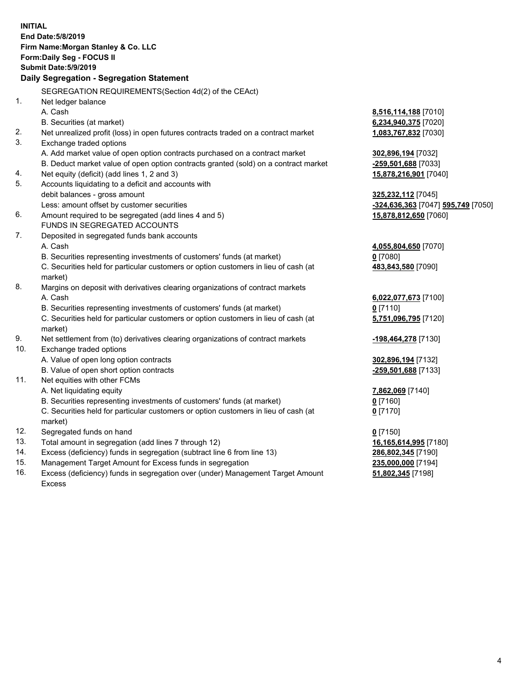|            | <b>INITIAL</b>                                                                      |                                    |
|------------|-------------------------------------------------------------------------------------|------------------------------------|
|            | End Date: 5/8/2019                                                                  |                                    |
|            | Firm Name: Morgan Stanley & Co. LLC                                                 |                                    |
|            | Form: Daily Seg - FOCUS II                                                          |                                    |
|            | <b>Submit Date: 5/9/2019</b>                                                        |                                    |
|            | Daily Segregation - Segregation Statement                                           |                                    |
|            | SEGREGATION REQUIREMENTS(Section 4d(2) of the CEAct)                                |                                    |
| 1.         | Net ledger balance                                                                  |                                    |
|            | A. Cash                                                                             | 8,516,114,188 [7010]               |
|            | B. Securities (at market)                                                           | 6,234,940,375 [7020]               |
| 2.         | Net unrealized profit (loss) in open futures contracts traded on a contract market  | 1,083,767,832 [7030]               |
| 3.         | Exchange traded options                                                             |                                    |
|            | A. Add market value of open option contracts purchased on a contract market         | 302,896,194 [7032]                 |
|            | B. Deduct market value of open option contracts granted (sold) on a contract market | -259,501,688 [7033]                |
| 4.         | Net equity (deficit) (add lines 1, 2 and 3)                                         | 15,878,216,901 [7040]              |
| 5.         | Accounts liquidating to a deficit and accounts with                                 |                                    |
|            | debit balances - gross amount                                                       | 325,232,112 [7045]                 |
|            | Less: amount offset by customer securities                                          | -324,636,363 [7047] 595,749 [7050] |
| 6.         | Amount required to be segregated (add lines 4 and 5)                                | 15,878,812,650 [7060]              |
|            | FUNDS IN SEGREGATED ACCOUNTS                                                        |                                    |
| 7.         | Deposited in segregated funds bank accounts                                         |                                    |
|            | A. Cash                                                                             | 4,055,804,650 [7070]               |
|            | B. Securities representing investments of customers' funds (at market)              | $0$ [7080]                         |
|            | C. Securities held for particular customers or option customers in lieu of cash (at | 483,843,580 [7090]                 |
|            | market)                                                                             |                                    |
| 8.         | Margins on deposit with derivatives clearing organizations of contract markets      |                                    |
|            | A. Cash                                                                             | 6,022,077,673 [7100]               |
|            | B. Securities representing investments of customers' funds (at market)              | $0$ [7110]                         |
|            | C. Securities held for particular customers or option customers in lieu of cash (at | 5,751,096,795 [7120]               |
|            | market)                                                                             |                                    |
| 9.         | Net settlement from (to) derivatives clearing organizations of contract markets     | -198,464,278 [7130]                |
| 10.        | Exchange traded options                                                             |                                    |
|            | A. Value of open long option contracts                                              | 302,896,194 [7132]                 |
|            | B. Value of open short option contracts                                             | -259,501,688 [7133]                |
| 11.        | Net equities with other FCMs                                                        |                                    |
|            | A. Net liquidating equity                                                           | 7,862,069 [7140]                   |
|            | B. Securities representing investments of customers' funds (at market)              | 0 [7160]                           |
|            | C. Securities held for particular customers or option customers in lieu of cash (at | $0$ [7170]                         |
|            | market)                                                                             |                                    |
| 12.        | Segregated funds on hand                                                            | $0$ [7150]                         |
| 13.<br>14. | Total amount in segregation (add lines 7 through 12)                                | 16,165,614,995 [7180]              |
| 15.        | Excess (deficiency) funds in segregation (subtract line 6 from line 13)             | 286,802,345 [7190]                 |
| 16.        | Management Target Amount for Excess funds in segregation                            | 235,000,000 [7194]                 |
|            | Excess (deficiency) funds in segregation over (under) Management Target Amount      | 51,802,345 [7198]                  |

16. Excess (deficiency) funds in segregation over (under) Management Target Amount Excess